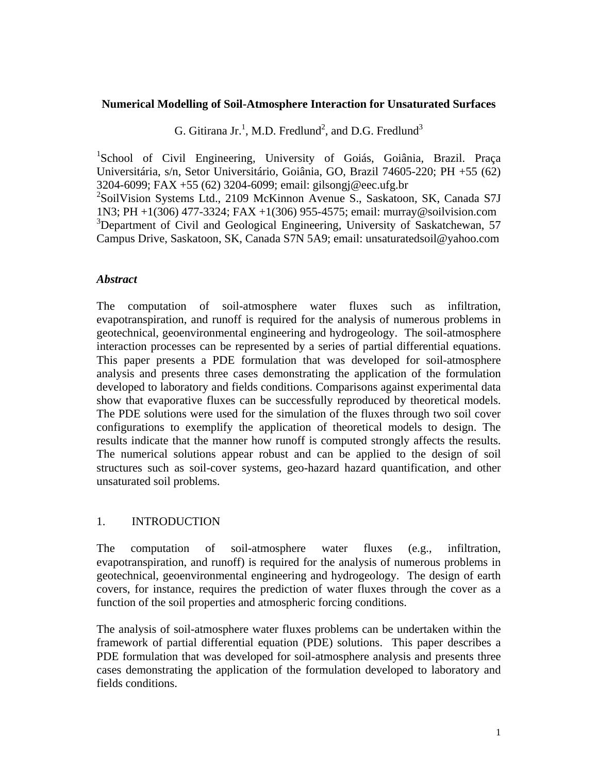### **Numerical Modelling of Soil-Atmosphere Interaction for Unsaturated Surfaces**

G. Gitirana Jr.<sup>1</sup>, M.D. Fredlund<sup>2</sup>, and D.G. Fredlund<sup>3</sup>

<sup>1</sup>School of Civil Engineering, University of Goiás, Goiânia, Brazil. Praça Universitária, s/n, Setor Universitário, Goiânia, GO, Brazil 74605-220; PH +55 (62) 3204-6099; FAX +55 (62) 3204-6099; email: gilsongj@eec.ufg.br 2 SoilVision Systems Ltd., 2109 McKinnon Avenue S., Saskatoon, SK, Canada S7J 1N3; PH +1(306) 477-3324; FAX +1(306) 955-4575; email: murray@soilvision.com <sup>3</sup>Department of Civil and Geological Engineering, University of Saskatchewan, 57 Campus Drive, Saskatoon, SK, Canada S7N 5A9; email: unsaturatedsoil@yahoo.com

## *Abstract*

The computation of soil-atmosphere water fluxes such as infiltration, evapotranspiration, and runoff is required for the analysis of numerous problems in geotechnical, geoenvironmental engineering and hydrogeology. The soil-atmosphere interaction processes can be represented by a series of partial differential equations. This paper presents a PDE formulation that was developed for soil-atmosphere analysis and presents three cases demonstrating the application of the formulation developed to laboratory and fields conditions. Comparisons against experimental data show that evaporative fluxes can be successfully reproduced by theoretical models. The PDE solutions were used for the simulation of the fluxes through two soil cover configurations to exemplify the application of theoretical models to design. The results indicate that the manner how runoff is computed strongly affects the results. The numerical solutions appear robust and can be applied to the design of soil structures such as soil-cover systems, geo-hazard hazard quantification, and other unsaturated soil problems.

## 1. INTRODUCTION

The computation of soil-atmosphere water fluxes (e.g., infiltration, evapotranspiration, and runoff) is required for the analysis of numerous problems in geotechnical, geoenvironmental engineering and hydrogeology. The design of earth covers, for instance, requires the prediction of water fluxes through the cover as a function of the soil properties and atmospheric forcing conditions.

The analysis of soil-atmosphere water fluxes problems can be undertaken within the framework of partial differential equation (PDE) solutions. This paper describes a PDE formulation that was developed for soil-atmosphere analysis and presents three cases demonstrating the application of the formulation developed to laboratory and fields conditions.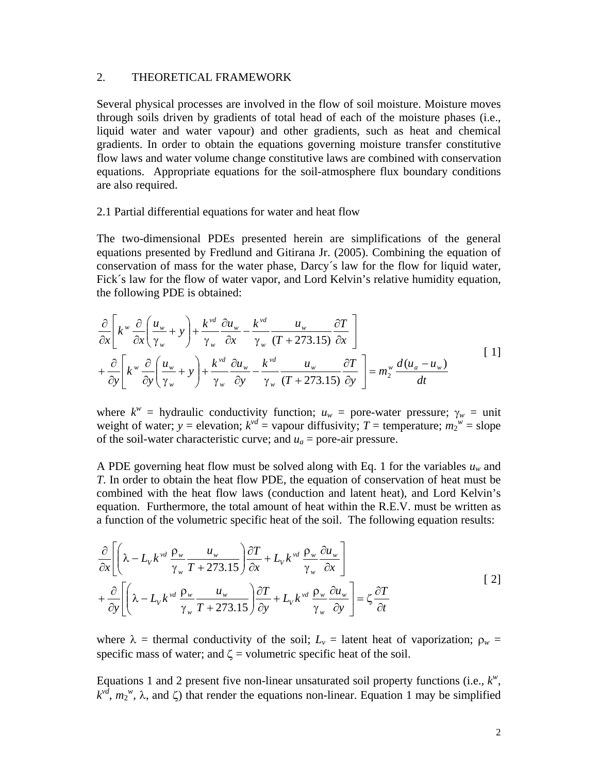### 2. THEORETICAL FRAMEWORK

Several physical processes are involved in the flow of soil moisture. Moisture moves through soils driven by gradients of total head of each of the moisture phases (i.e., liquid water and water vapour) and other gradients, such as heat and chemical gradients. In order to obtain the equations governing moisture transfer constitutive flow laws and water volume change constitutive laws are combined with conservation equations. Appropriate equations for the soil-atmosphere flux boundary conditions are also required.

### 2.1 Partial differential equations for water and heat flow

The two-dimensional PDEs presented herein are simplifications of the general equations presented by Fredlund and Gitirana Jr. (2005). Combining the equation of conservation of mass for the water phase, Darcy´s law for the flow for liquid water, Fick´s law for the flow of water vapor, and Lord Kelvin's relative humidity equation, the following PDE is obtained:

$$
\frac{\partial}{\partial x}\left[k^w \frac{\partial}{\partial x}\left(\frac{u_w}{\gamma_w} + y\right) + \frac{k^{vd}}{\gamma_w} \frac{\partial u_w}{\partial x} - \frac{k^{vd}}{\gamma_w} \frac{u_w}{(T + 273.15)} \frac{\partial T}{\partial x}\right] \n+ \frac{\partial}{\partial y}\left[k^w \frac{\partial}{\partial y}\left(\frac{u_w}{\gamma_w} + y\right) + \frac{k^{vd}}{\gamma_w} \frac{\partial u_w}{\partial y} - \frac{k^{vd}}{\gamma_w} \frac{u_w}{(T + 273.15)} \frac{\partial T}{\partial y}\right] = m_2^w \frac{d(u_a - u_w)}{dt}
$$
\n[1]

where  $k^w$  = hydraulic conductivity function;  $u_w$  = pore-water pressure;  $\gamma_w$  = unit weight of water;  $y =$  elevation;  $k^{vd} =$  vapour diffusivity;  $T =$  temperature;  $m_2^w =$  slope of the soil-water characteristic curve; and  $u_a$  = pore-air pressure.

A PDE governing heat flow must be solved along with Eq. 1 for the variables  $u_w$  and *T*. In order to obtain the heat flow PDE, the equation of conservation of heat must be combined with the heat flow laws (conduction and latent heat), and Lord Kelvin's equation. Furthermore, the total amount of heat within the R.E.V. must be written as a function of the volumetric specific heat of the soil. The following equation results:

$$
\frac{\partial}{\partial x} \left[ \left( \lambda - L_{V} k^{\nu d} \frac{\rho_{w}}{\gamma_{w}} \frac{u_{w}}{T + 273.15} \right) \frac{\partial T}{\partial x} + L_{V} k^{\nu d} \frac{\rho_{w}}{\gamma_{w}} \frac{\partial u_{w}}{\partial x} \right] + \frac{\partial}{\partial y} \left[ \left( \lambda - L_{V} k^{\nu d} \frac{\rho_{w}}{\gamma_{w}} \frac{u_{w}}{T + 273.15} \right) \frac{\partial T}{\partial y} + L_{V} k^{\nu d} \frac{\rho_{w}}{\gamma_{w}} \frac{\partial u_{w}}{\partial y} \right] = \zeta \frac{\partial T}{\partial t}
$$
\n
$$
\tag{2}
$$

where  $\lambda$  = thermal conductivity of the soil;  $L_v$  = latent heat of vaporization;  $\rho_w$  = specific mass of water; and  $\zeta$  = volumetric specific heat of the soil.

Equations 1 and 2 present five non-linear unsaturated soil property functions (i.e.,  $k^w$ ,  $k^{\nu d}$ ,  $m_2^{\nu \nu}$ ,  $\lambda$ , and  $\zeta$ ) that render the equations non-linear. Equation 1 may be simplified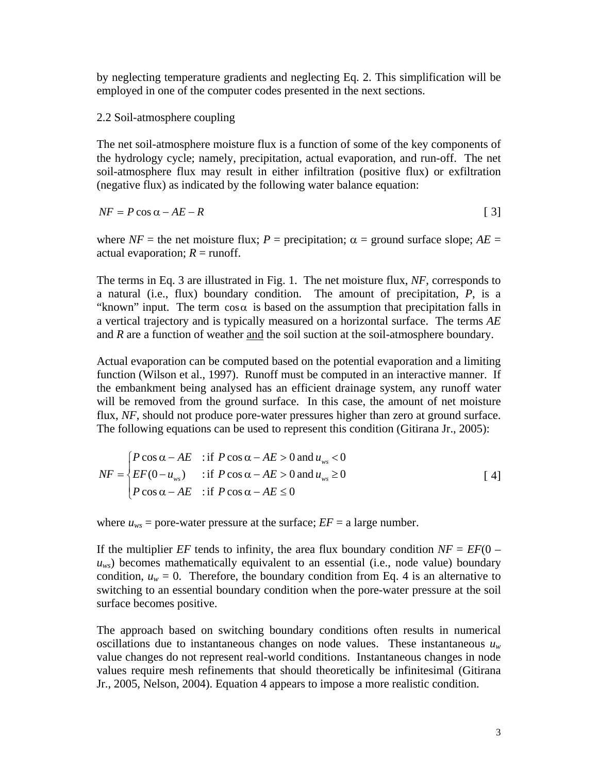by neglecting temperature gradients and neglecting Eq. 2. This simplification will be employed in one of the computer codes presented in the next sections.

2.2 Soil-atmosphere coupling

The net soil-atmosphere moisture flux is a function of some of the key components of the hydrology cycle; namely, precipitation, actual evaporation, and run-off. The net soil-atmosphere flux may result in either infiltration (positive flux) or exfiltration (negative flux) as indicated by the following water balance equation:

$$
NF = P \cos \alpha - AE - R \tag{3}
$$

where  $NF$  = the net moisture flux; *P* = precipitation;  $\alpha$  = ground surface slope; *AE* = actual evaporation;  $R =$  runoff.

The terms in Eq. 3 are illustrated in Fig. 1. The net moisture flux, *NF*, corresponds to a natural (i.e., flux) boundary condition. The amount of precipitation, *P*, is a "known" input. The term  $\cos \alpha$  is based on the assumption that precipitation falls in a vertical trajectory and is typically measured on a horizontal surface. The terms *AE* and *R* are a function of weather and the soil suction at the soil-atmosphere boundary.

Actual evaporation can be computed based on the potential evaporation and a limiting function (Wilson et al., 1997). Runoff must be computed in an interactive manner. If the embankment being analysed has an efficient drainage system, any runoff water will be removed from the ground surface. In this case, the amount of net moisture flux, *NF*, should not produce pore-water pressures higher than zero at ground surface. The following equations can be used to represent this condition (Gitirana Jr., 2005):

$$
NF = \begin{cases} P\cos\alpha - AE & \text{if } P\cos\alpha - AE > 0 \text{ and } u_{ws} < 0 \\ EF(0 - u_{ws}) & \text{if } P\cos\alpha - AE > 0 \text{ and } u_{ws} \ge 0 \\ P\cos\alpha - AE & \text{if } P\cos\alpha - AE \le 0 \end{cases}
$$
 [4]

where  $u_{ws}$  = pore-water pressure at the surface;  $EF = a$  large number.

If the multiplier *EF* tends to infinity, the area flux boundary condition  $NF = EF(0$  $u_{ws}$ ) becomes mathematically equivalent to an essential (i.e., node value) boundary condition,  $u_w = 0$ . Therefore, the boundary condition from Eq. 4 is an alternative to switching to an essential boundary condition when the pore-water pressure at the soil surface becomes positive.

The approach based on switching boundary conditions often results in numerical oscillations due to instantaneous changes on node values. These instantaneous  $u_w$ value changes do not represent real-world conditions. Instantaneous changes in node values require mesh refinements that should theoretically be infinitesimal (Gitirana Jr., 2005, Nelson, 2004). Equation 4 appears to impose a more realistic condition.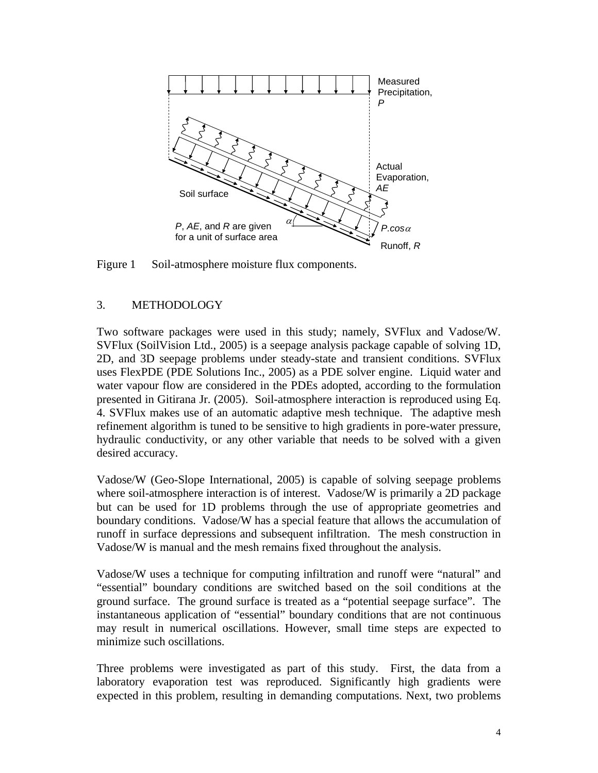

Figure 1 Soil-atmosphere moisture flux components.

## 3. METHODOLOGY

Two software packages were used in this study; namely, SVFlux and Vadose/W. SVFlux (SoilVision Ltd., 2005) is a seepage analysis package capable of solving 1D, 2D, and 3D seepage problems under steady-state and transient conditions. SVFlux uses FlexPDE (PDE Solutions Inc., 2005) as a PDE solver engine. Liquid water and water vapour flow are considered in the PDEs adopted, according to the formulation presented in Gitirana Jr. (2005). Soil-atmosphere interaction is reproduced using Eq. 4. SVFlux makes use of an automatic adaptive mesh technique. The adaptive mesh refinement algorithm is tuned to be sensitive to high gradients in pore-water pressure, hydraulic conductivity, or any other variable that needs to be solved with a given desired accuracy.

Vadose/W (Geo-Slope International, 2005) is capable of solving seepage problems where soil-atmosphere interaction is of interest. Vadose/W is primarily a 2D package but can be used for 1D problems through the use of appropriate geometries and boundary conditions. Vadose/W has a special feature that allows the accumulation of runoff in surface depressions and subsequent infiltration. The mesh construction in Vadose/W is manual and the mesh remains fixed throughout the analysis.

Vadose/W uses a technique for computing infiltration and runoff were "natural" and "essential" boundary conditions are switched based on the soil conditions at the ground surface. The ground surface is treated as a "potential seepage surface". The instantaneous application of "essential" boundary conditions that are not continuous may result in numerical oscillations. However, small time steps are expected to minimize such oscillations.

Three problems were investigated as part of this study. First, the data from a laboratory evaporation test was reproduced. Significantly high gradients were expected in this problem, resulting in demanding computations. Next, two problems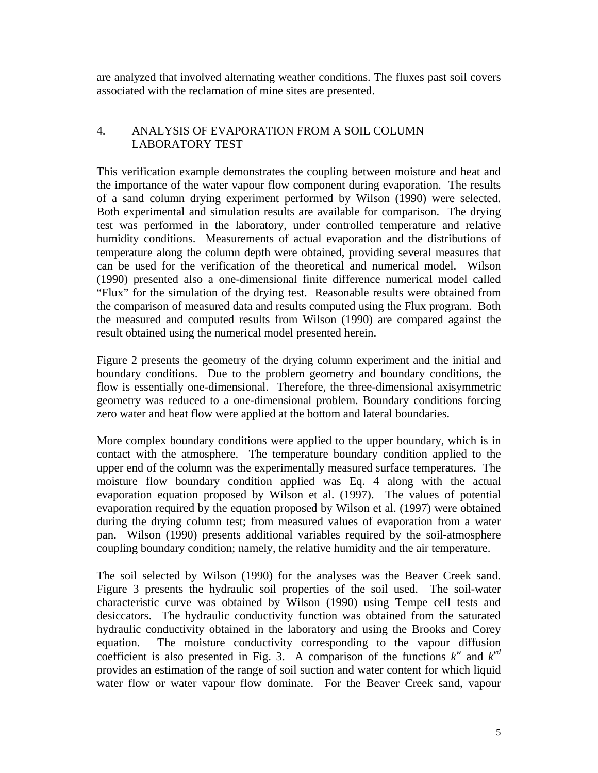are analyzed that involved alternating weather conditions. The fluxes past soil covers associated with the reclamation of mine sites are presented.

# 4. ANALYSIS OF EVAPORATION FROM A SOIL COLUMN LABORATORY TEST

This verification example demonstrates the coupling between moisture and heat and the importance of the water vapour flow component during evaporation. The results of a sand column drying experiment performed by Wilson (1990) were selected. Both experimental and simulation results are available for comparison. The drying test was performed in the laboratory, under controlled temperature and relative humidity conditions. Measurements of actual evaporation and the distributions of temperature along the column depth were obtained, providing several measures that can be used for the verification of the theoretical and numerical model. Wilson (1990) presented also a one-dimensional finite difference numerical model called "Flux" for the simulation of the drying test. Reasonable results were obtained from the comparison of measured data and results computed using the Flux program. Both the measured and computed results from Wilson (1990) are compared against the result obtained using the numerical model presented herein.

Figure 2 presents the geometry of the drying column experiment and the initial and boundary conditions. Due to the problem geometry and boundary conditions, the flow is essentially one-dimensional. Therefore, the three-dimensional axisymmetric geometry was reduced to a one-dimensional problem. Boundary conditions forcing zero water and heat flow were applied at the bottom and lateral boundaries.

More complex boundary conditions were applied to the upper boundary, which is in contact with the atmosphere. The temperature boundary condition applied to the upper end of the column was the experimentally measured surface temperatures. The moisture flow boundary condition applied was Eq. 4 along with the actual evaporation equation proposed by Wilson et al. (1997). The values of potential evaporation required by the equation proposed by Wilson et al. (1997) were obtained during the drying column test; from measured values of evaporation from a water pan. Wilson (1990) presents additional variables required by the soil-atmosphere coupling boundary condition; namely, the relative humidity and the air temperature.

The soil selected by Wilson (1990) for the analyses was the Beaver Creek sand. Figure 3 presents the hydraulic soil properties of the soil used. The soil-water characteristic curve was obtained by Wilson (1990) using Tempe cell tests and desiccators. The hydraulic conductivity function was obtained from the saturated hydraulic conductivity obtained in the laboratory and using the Brooks and Corey equation. The moisture conductivity corresponding to the vapour diffusion coefficient is also presented in Fig. 3. A comparison of the functions  $k^w$  and  $k^{vd}$ provides an estimation of the range of soil suction and water content for which liquid water flow or water vapour flow dominate. For the Beaver Creek sand, vapour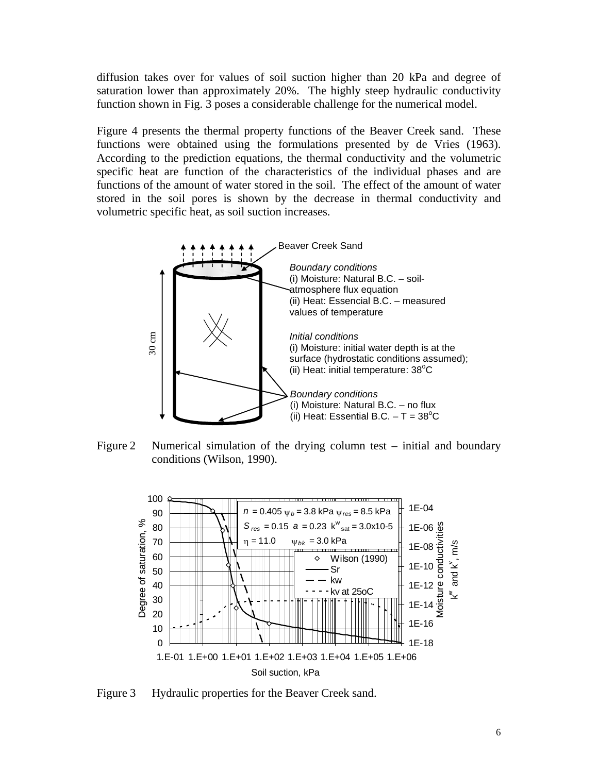diffusion takes over for values of soil suction higher than 20 kPa and degree of saturation lower than approximately 20%. The highly steep hydraulic conductivity function shown in Fig. 3 poses a considerable challenge for the numerical model.

Figure 4 presents the thermal property functions of the Beaver Creek sand. These functions were obtained using the formulations presented by de Vries (1963). According to the prediction equations, the thermal conductivity and the volumetric specific heat are function of the characteristics of the individual phases and are functions of the amount of water stored in the soil. The effect of the amount of water stored in the soil pores is shown by the decrease in thermal conductivity and volumetric specific heat, as soil suction increases.



Figure 2 Numerical simulation of the drying column test – initial and boundary conditions (Wilson, 1990).



Figure 3 Hydraulic properties for the Beaver Creek sand.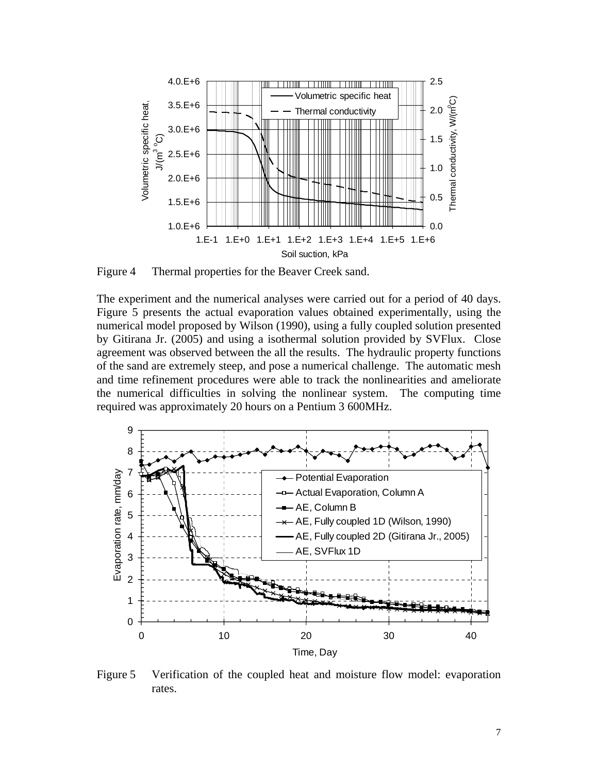

Figure 4 Thermal properties for the Beaver Creek sand.

The experiment and the numerical analyses were carried out for a period of 40 days. Figure 5 presents the actual evaporation values obtained experimentally, using the numerical model proposed by Wilson (1990), using a fully coupled solution presented by Gitirana Jr. (2005) and using a isothermal solution provided by SVFlux. Close agreement was observed between the all the results. The hydraulic property functions of the sand are extremely steep, and pose a numerical challenge. The automatic mesh and time refinement procedures were able to track the nonlinearities and ameliorate the numerical difficulties in solving the nonlinear system. The computing time required was approximately 20 hours on a Pentium 3 600MHz.



Figure 5 Verification of the coupled heat and moisture flow model: evaporation rates.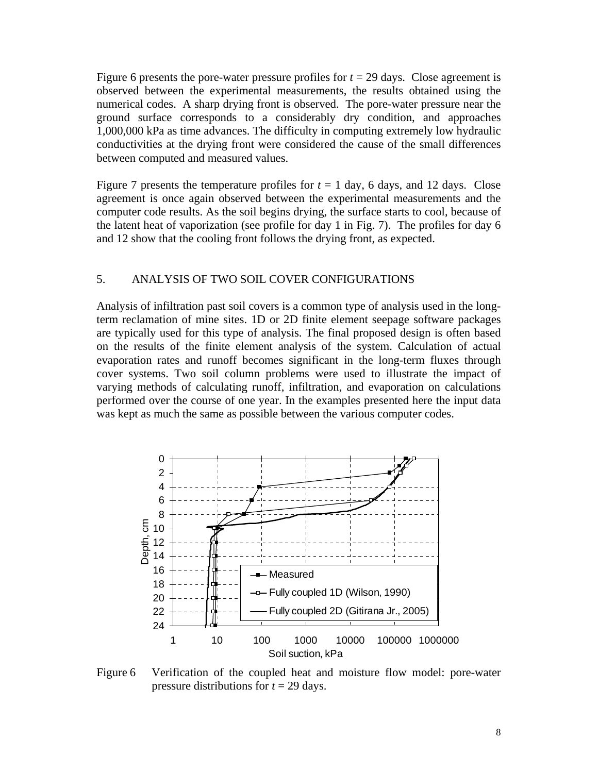Figure 6 presents the pore-water pressure profiles for  $t = 29$  days. Close agreement is observed between the experimental measurements, the results obtained using the numerical codes. A sharp drying front is observed. The pore-water pressure near the ground surface corresponds to a considerably dry condition, and approaches 1,000,000 kPa as time advances. The difficulty in computing extremely low hydraulic conductivities at the drying front were considered the cause of the small differences between computed and measured values.

Figure 7 presents the temperature profiles for  $t = 1$  day, 6 days, and 12 days. Close agreement is once again observed between the experimental measurements and the computer code results. As the soil begins drying, the surface starts to cool, because of the latent heat of vaporization (see profile for day 1 in Fig. 7). The profiles for day 6 and 12 show that the cooling front follows the drying front, as expected.

### 5. ANALYSIS OF TWO SOIL COVER CONFIGURATIONS

Analysis of infiltration past soil covers is a common type of analysis used in the longterm reclamation of mine sites. 1D or 2D finite element seepage software packages are typically used for this type of analysis. The final proposed design is often based on the results of the finite element analysis of the system. Calculation of actual evaporation rates and runoff becomes significant in the long-term fluxes through cover systems. Two soil column problems were used to illustrate the impact of varying methods of calculating runoff, infiltration, and evaporation on calculations performed over the course of one year. In the examples presented here the input data was kept as much the same as possible between the various computer codes.



Figure 6 Verification of the coupled heat and moisture flow model: pore-water pressure distributions for *t* = 29 days.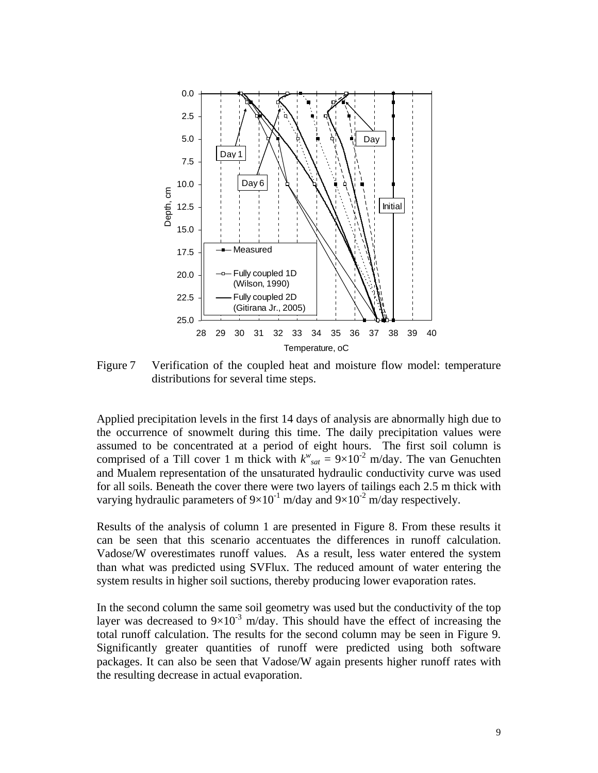

Figure 7 Verification of the coupled heat and moisture flow model: temperature distributions for several time steps.

Applied precipitation levels in the first 14 days of analysis are abnormally high due to the occurrence of snowmelt during this time. The daily precipitation values were assumed to be concentrated at a period of eight hours. The first soil column is comprised of a Till cover 1 m thick with  $k^w_{sat} = 9 \times 10^{-2}$  m/day. The van Genuchten and Mualem representation of the unsaturated hydraulic conductivity curve was used for all soils. Beneath the cover there were two layers of tailings each 2.5 m thick with varying hydraulic parameters of  $9\times10^{-1}$  m/day and  $9\times10^{-2}$  m/day respectively.

Results of the analysis of column 1 are presented in Figure 8. From these results it can be seen that this scenario accentuates the differences in runoff calculation. Vadose/W overestimates runoff values. As a result, less water entered the system than what was predicted using SVFlux. The reduced amount of water entering the system results in higher soil suctions, thereby producing lower evaporation rates.

In the second column the same soil geometry was used but the conductivity of the top layer was decreased to  $9\times10^{-3}$  m/day. This should have the effect of increasing the total runoff calculation. The results for the second column may be seen in Figure 9. Significantly greater quantities of runoff were predicted using both software packages. It can also be seen that Vadose/W again presents higher runoff rates with the resulting decrease in actual evaporation.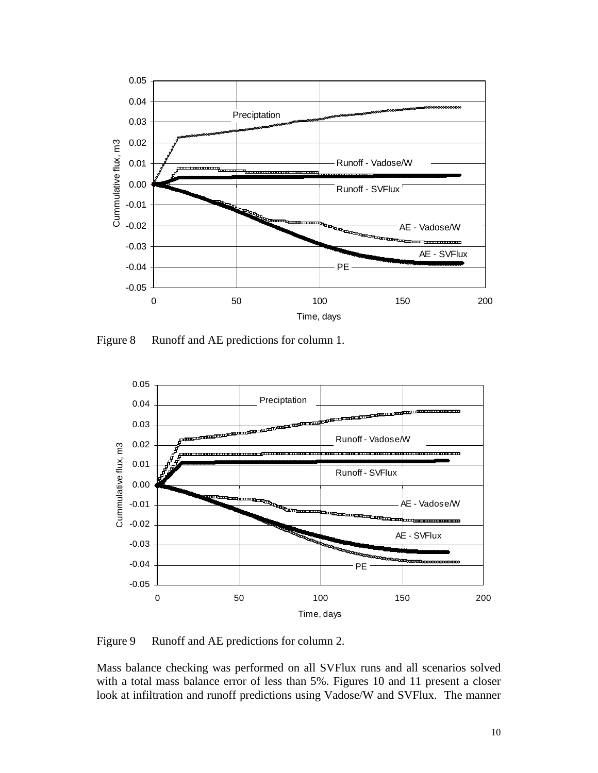

Figure 8 Runoff and AE predictions for column 1.



Figure 9 Runoff and AE predictions for column 2.

Mass balance checking was performed on all SVFlux runs and all scenarios solved with a total mass balance error of less than 5%. Figures 10 and 11 present a closer look at infiltration and runoff predictions using Vadose/W and SVFlux. The manner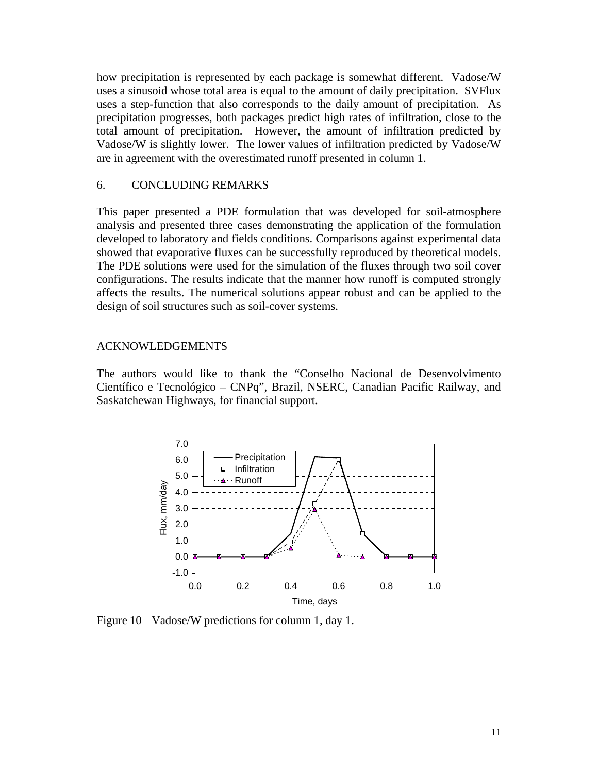how precipitation is represented by each package is somewhat different. Vadose/W uses a sinusoid whose total area is equal to the amount of daily precipitation. SVFlux uses a step-function that also corresponds to the daily amount of precipitation. As precipitation progresses, both packages predict high rates of infiltration, close to the total amount of precipitation. However, the amount of infiltration predicted by Vadose/W is slightly lower. The lower values of infiltration predicted by Vadose/W are in agreement with the overestimated runoff presented in column 1.

## 6. CONCLUDING REMARKS

This paper presented a PDE formulation that was developed for soil-atmosphere analysis and presented three cases demonstrating the application of the formulation developed to laboratory and fields conditions. Comparisons against experimental data showed that evaporative fluxes can be successfully reproduced by theoretical models. The PDE solutions were used for the simulation of the fluxes through two soil cover configurations. The results indicate that the manner how runoff is computed strongly affects the results. The numerical solutions appear robust and can be applied to the design of soil structures such as soil-cover systems.

### ACKNOWLEDGEMENTS

The authors would like to thank the "Conselho Nacional de Desenvolvimento Científico e Tecnológico – CNPq", Brazil, NSERC, Canadian Pacific Railway, and Saskatchewan Highways, for financial support.



Figure 10 Vadose/W predictions for column 1, day 1.